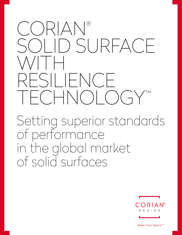## CORIAN® SOLID SURFACE WITH RESILIENCE TECHNOLOGY

Setting superior standards of performance in the global market of solid surfaces



Make Your Space™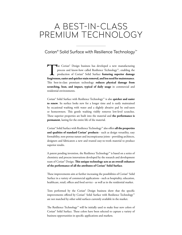## A BEST-IN-CLASS PREMIUM TECHNOLOGY

Corian® Solid Surface with Resilience Technology™

The Corian® Design business has developed a new manufacturing<br>process and know-how called Resilience Technology™, enabling the<br>production of Corian® Solid Surface **featuring superior damage**<br>forgiveness, easier and quicker process and know-how called Resilience Technology™, enabling the production of Corian® Solid Surface **featuring superior damage forgiveness, easier and quicker stain removal, and less need for maintenance**. This best-in-class premium technology **reduces physical damage from scratching, heat, and impact, typical of daily usage** in commercial and residential environments.

Corian® Solid Surface with Resilience Technology™ is also **quicker and easier to renew**. Its surface looks new for a longer time and is easily maintained by occasional washing with water and a slightly abrasive pad by end-users or homeowners. This gentle washing visibly removes low-level scratches. These superior properties are built into the material and **the performance is permanent**, lasting for the entire life of the material.

Corian® Solid Surface with Resilience Technology™ also offers **all the properties and qualities of standard Corian® products** - such as design versatility, easy formability, non-porous nature and inconspicuous joints - providing architects, designers and fabricators a new and trusted easy-to-work material to produce superior results.

A patent pending invention, the Resilience Technology™ is based on a series of chemistry and process innovations developed by the research and development team of Corian® Design. **This unique technology acts as an overall enhancer of the performance of all the attributes of Corian® Solid Surface**.

These improvements aim at further increasing the possibilities of Corian® Solid Surface in a variety of commercial applications - such as hospitality, education, healthcare, retail, offices and food service - as well as in the residential market.

Tests performed by the Corian® Design business show that the specific improvements offered by Corian® Solid Surface with Resilience Technology™ are not matched by other solid surfaces currently available in the market.

The Resilience Technology™ will be initially used to make four new colors of Corian® Solid Surface. These colors have been selected to capture a variety of business opportunities in specific applications and markets.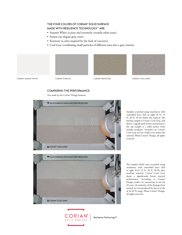## THE FOUR COLORS OF CORIAN® SOLID SURFACE MADE WITH RESILIENCE TECHNOLOGY™ ARE:

- Summit White (a pure and extremely versatile white tone);
- Stratus (an elegant gray tone);
- Keystone (a color inspired by the look of concrete);
- Cool Gray (combining small particles of different sizes into a gray matrix).









CORIAN® SUMMIT WHITE CORIAN® STRATUS CORIAN® KEYSTONE CORIAN® COOL GRAY



Test made by the Corian® Design business.



Samples scratched using machinery with controlled force (left to right 10 N, 15 N, 20 N, 30 N) before the renewal. The bottom sample is Corian® Cool Gray, and shows a significantly better performance; the top sample is a solid surface from another producer. Scratches on Corian® Cool Gray are less visible even before the renewal. Photo Corian® Design, all rights reserved.

The samples which were scratched using machinery with controlled force (left to right 10 N, 15 N, 20 N, 30 N) after machine renewal. Corian® Cool Gray shows a significantly better renewal performance. According to Corian® Design studies on countertop in use for 10 years, the majority of the damage from normal use was produced by forces in the of 10-20 N range. Photo Corian® Design, all rights reserved.



Resilience Technology™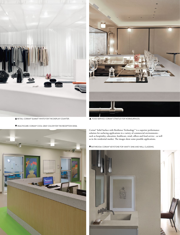

HEALTHCARE: CORIAN® COOL GRAY COLOR FOR THE RECEPTION DESK.



RETAIL: CORIAN® SUMMIT WHITE FOR THE DISPLAY COUNTER. FOOD SERVICE: CORIAN® STRATUS FOR WORKSURFACES.

Corian® Solid Surface with Resilience Technology™ is a superior performance solution for surfacing applications in a variety of commercial environments such as hospitality, education, healthcare, retail, offices and food service - as well as in the residential market. The images show some possible applications.

BATHROOM: CORIAN® KEYSTONE FOR VANITY, SINK AND WALL CLADDING.



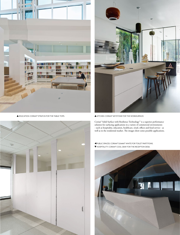





A EDUCATION: CORIAN® STRATUS FOR THE TABLE TOPS. WELL SERVICE TO A MITCHEN: CORIAN® KEYSTONE FOR THE WORKSURFACE.

Corian® Solid Surface with Resilience Technology™ is a superior performance solution for surfacing applications in a variety of commercial environments - such as hospitality, education, healthcare, retail, offices and food service - as well as in the residential market. The images show some possible applications.

 PUBLIC SPACES: CORIAN® SUMMIT WHITE FOR TOILET PARTITIONS. HOSPITALITY: CORIAN® COOL GRAY FOR THE RECEPTION DESK.